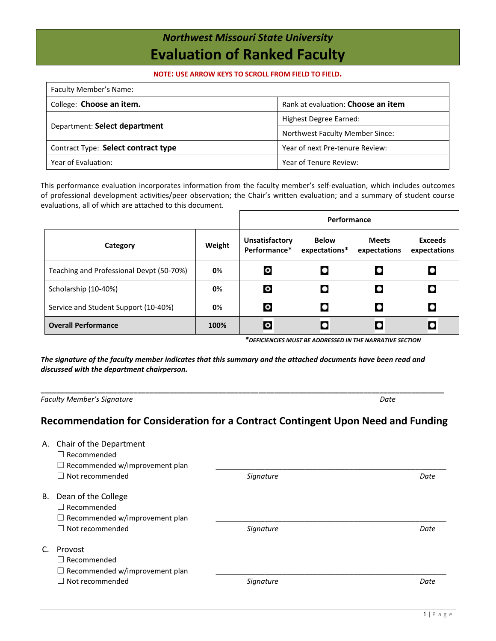## *Northwest Missouri State University* **Evaluation of Ranked Faculty**

## **NOTE: USE ARROW KEYS TO SCROLL FROM FIELD TO FIELD.**

| Faculty Member's Name:              |                                        |  |  |  |
|-------------------------------------|----------------------------------------|--|--|--|
| College: Choose an item.            | Rank at evaluation: Choose an item     |  |  |  |
|                                     | Highest Degree Earned:                 |  |  |  |
| Department: Select department       | <b>Northwest Faculty Member Since:</b> |  |  |  |
| Contract Type: Select contract type | Year of next Pre-tenure Review:        |  |  |  |
| Year of Evaluation:                 | Year of Tenure Review:                 |  |  |  |

This performance evaluation incorporates information from the faculty member's self-evaluation, which includes outcomes of professional development activities/peer observation; the Chair's written evaluation; and a summary of student course evaluations, all of which are attached to this document.

|                                          |        | Performance                    |                               |                              |                                |
|------------------------------------------|--------|--------------------------------|-------------------------------|------------------------------|--------------------------------|
| Category                                 | Weight | Unsatisfactory<br>Performance* | <b>Below</b><br>expectations* | <b>Meets</b><br>expectations | <b>Exceeds</b><br>expectations |
| Teaching and Professional Devpt (50-70%) | 0%     | $\bullet$                      | $\bullet$                     | $\bullet$                    | ۰                              |
| Scholarship (10-40%)                     | 0%     | $\circ$                        |                               | $\bullet$                    | О                              |
| Service and Student Support (10-40%)     | 0%     | $\circ$                        |                               | $\bullet$                    |                                |
| <b>Overall Performance</b>               | 100%   | $\circ$                        | $\bullet$                     | $\bullet$                    | $\bullet$                      |

*\*DEFICIENCIES MUST BE ADDRESSED IN THE NARRATIVE SECTION* 

*The signature of the faculty member indicates that this summary and the attached documents have been read and discussed with the department chairperson.*

*Faculty Member's Signature Date*

**\_\_\_\_\_\_\_\_\_\_\_\_\_\_\_\_\_\_\_\_\_\_\_\_\_\_\_\_\_\_\_\_\_\_\_\_\_\_\_\_\_\_\_\_\_\_\_\_\_\_\_\_\_\_\_\_\_\_\_\_\_\_\_\_\_\_\_\_\_\_\_\_\_\_\_\_\_\_\_\_\_\_\_\_\_\_\_\_\_\_\_\_\_\_\_\_\_\_\_\_**

## **Recommendation for Consideration for a Contract Contingent Upon Need and Funding**

| А. | Chair of the Department<br>$\Box$ Recommended<br>$\Box$ Recommended w/improvement plan                       |           |      |
|----|--------------------------------------------------------------------------------------------------------------|-----------|------|
|    | $\Box$ Not recommended                                                                                       | Signature | Date |
| В. | Dean of the College<br>$\Box$ Recommended<br>$\Box$ Recommended w/improvement plan<br>$\Box$ Not recommended | Signature | Date |
|    |                                                                                                              |           |      |
|    | Provost<br>$\Box$ Recommended<br>$\Box$ Recommended w/improvement plan                                       |           |      |
|    | Not recommended                                                                                              | Signature | Date |